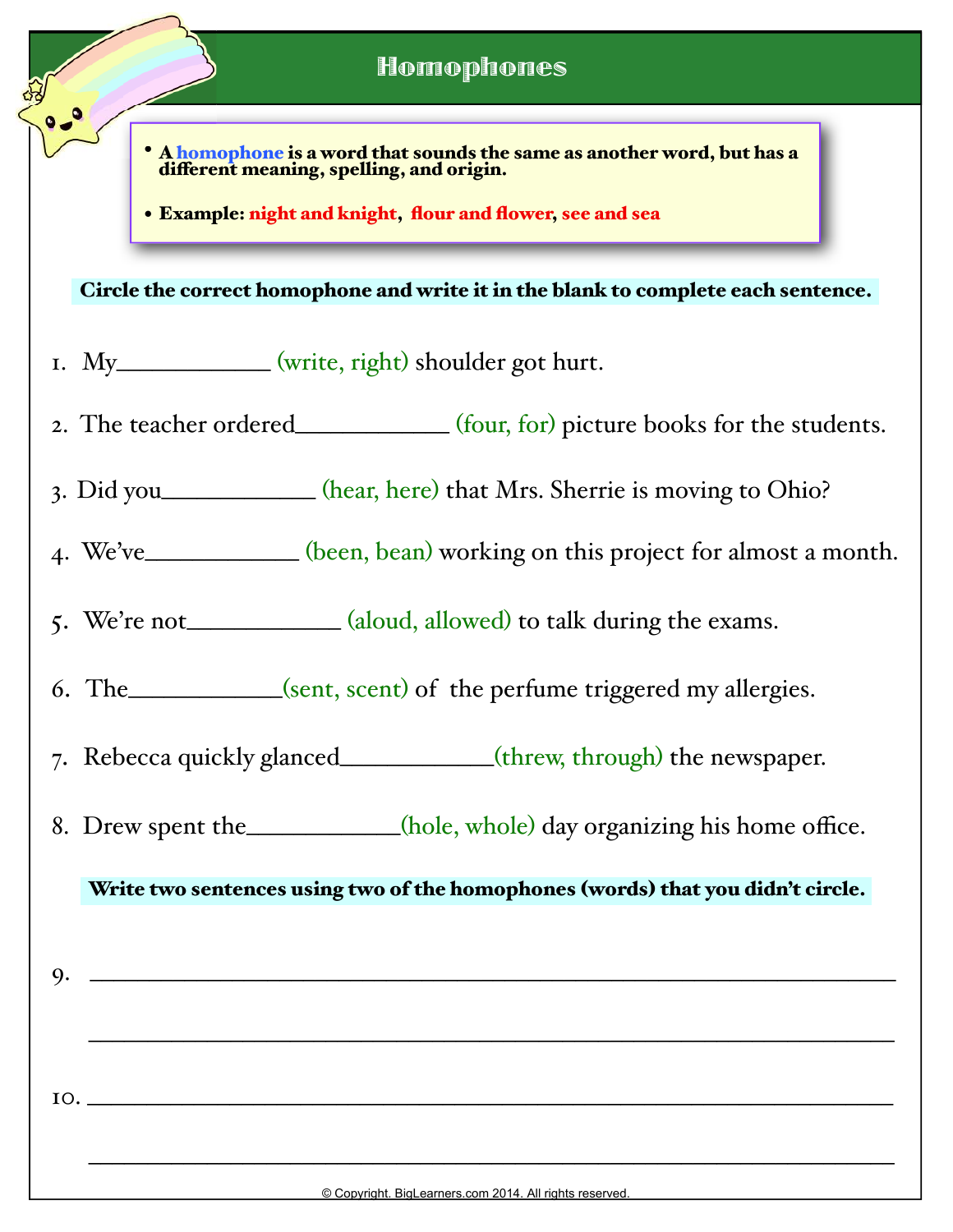